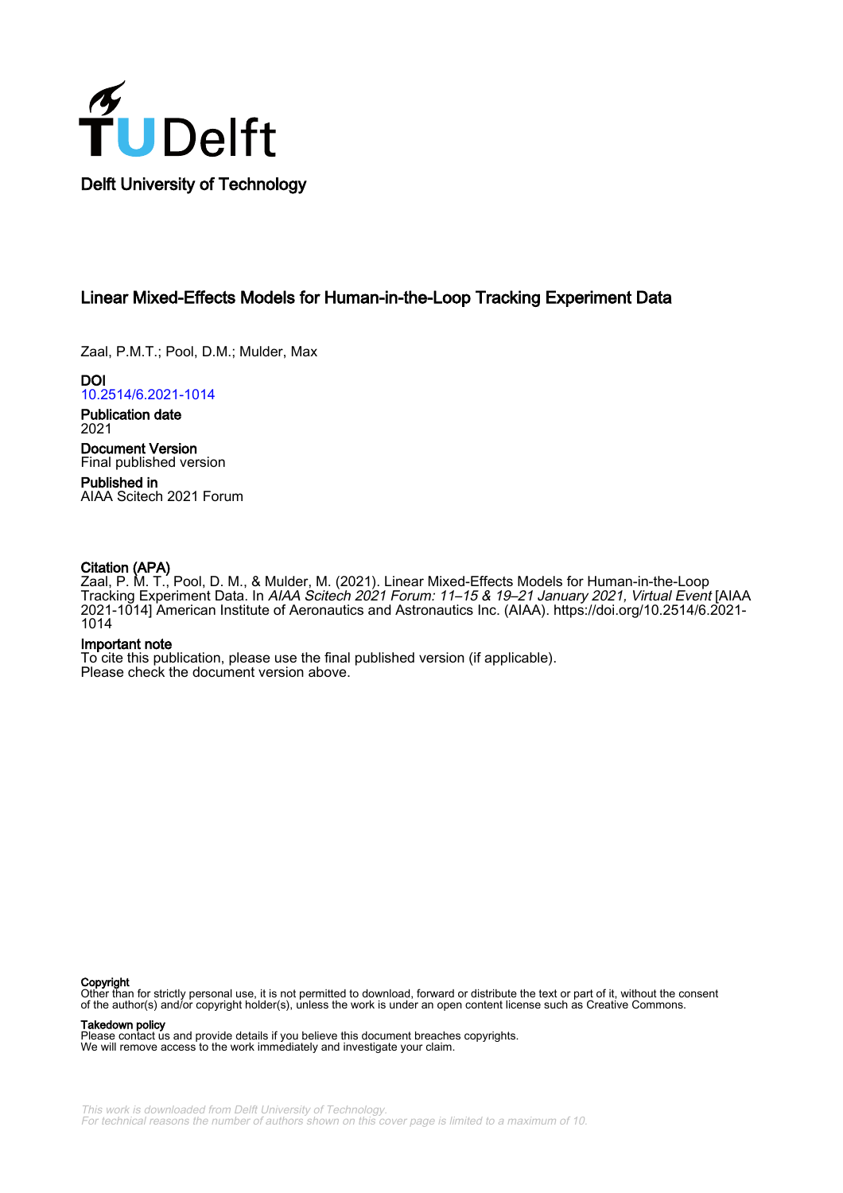

# Linear Mixed-Effects Models for Human-in-the-Loop Tracking Experiment Data

Zaal, P.M.T.; Pool, D.M.; Mulder, Max

DOI [10.2514/6.2021-1014](https://doi.org/10.2514/6.2021-1014)

Publication date 2021

Document Version Final published version

Published in AIAA Scitech 2021 Forum

# Citation (APA)

Zaal, P. M. T., Pool, D. M., & Mulder, M. (2021). Linear Mixed-Effects Models for Human-in-the-Loop Tracking Experiment Data. In AIAA Scitech 2021 Forum: 11–15 & 19–21 January 2021, Virtual Event [AIAA 2021-1014] American Institute of Aeronautics and Astronautics Inc. (AIAA). [https://doi.org/10.2514/6.2021-](https://doi.org/10.2514/6.2021-1014) [1014](https://doi.org/10.2514/6.2021-1014)

# Important note

To cite this publication, please use the final published version (if applicable). Please check the document version above.

#### **Copyright**

Other than for strictly personal use, it is not permitted to download, forward or distribute the text or part of it, without the consent of the author(s) and/or copyright holder(s), unless the work is under an open content license such as Creative Commons.

#### Takedown policy

Please contact us and provide details if you believe this document breaches copyrights. We will remove access to the work immediately and investigate your claim.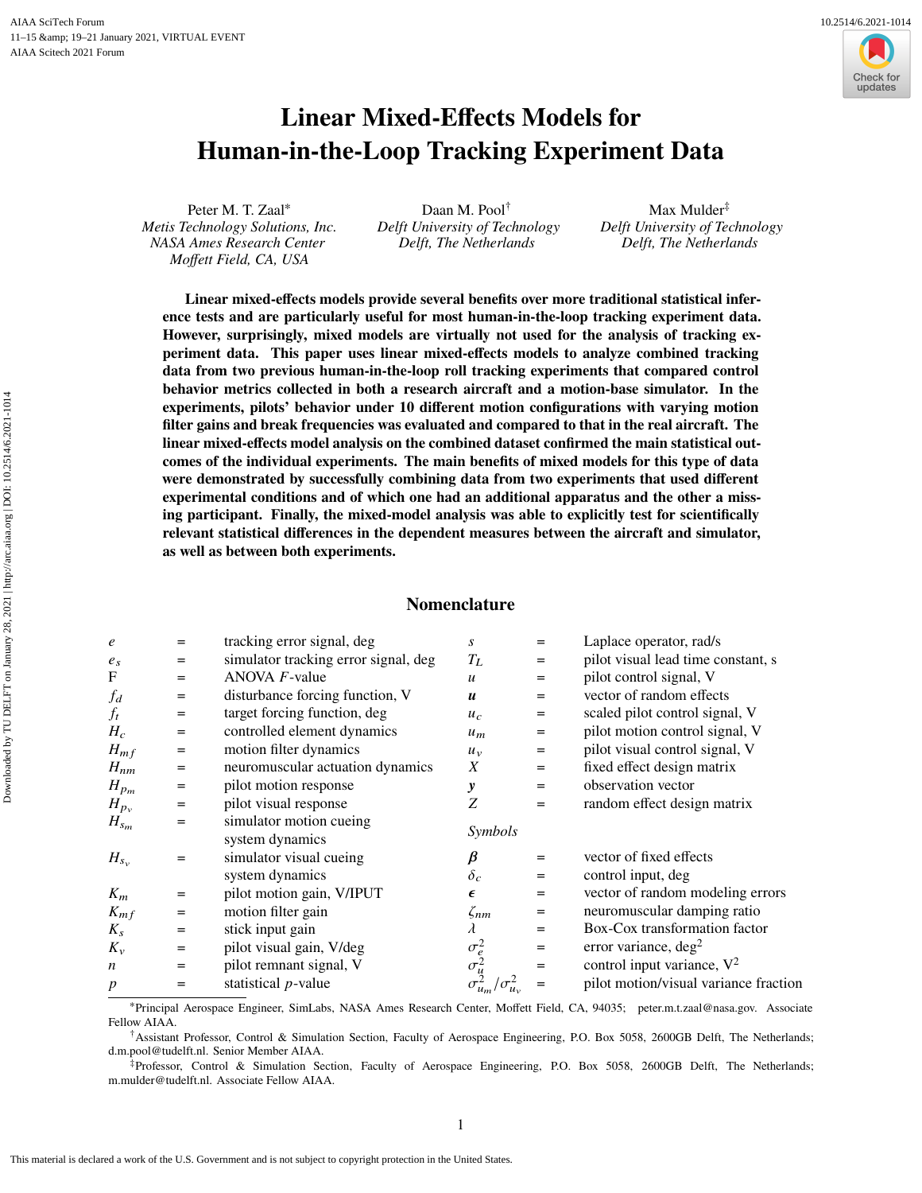Downloaded by TU DELFT on January 28, 2021 | http://arc.aiaa.org | DOI: 10.2514/6.2021-1014

Downloaded by TU DELFT on January 28, 2021 | http://arc.aiaa.org | DOI: 10.2514/6.2021-1014

# **Linear Mixed-Effects Models for Human-in-the-Loop Tracking Experiment Data**

Peter M. T. Zaal<sup>∗</sup> *Metis Technology Solutions, Inc. NASA Ames Research Center Moffett Field, CA, USA*

Daan M. Pool† *Delft University of Technology Delft, The Netherlands*

Max Mulder‡ *Delft University of Technology Delft, The Netherlands*

**Linear mixed-effects models provide several benefits over more traditional statistical inference tests and are particularly useful for most human-in-the-loop tracking experiment data. However, surprisingly, mixed models are virtually not used for the analysis of tracking experiment data. This paper uses linear mixed-effects models to analyze combined tracking data from two previous human-in-the-loop roll tracking experiments that compared control behavior metrics collected in both a research aircraft and a motion-base simulator. In the experiments, pilots' behavior under 10 different motion configurations with varying motion filter gains and break frequencies was evaluated and compared to that in the real aircraft. The linear mixed-effects model analysis on the combined dataset confirmed the main statistical outcomes of the individual experiments. The main benefits of mixed models for this type of data were demonstrated by successfully combining data from two experiments that used different experimental conditions and of which one had an additional apparatus and the other a missing participant. Finally, the mixed-model analysis was able to explicitly test for scientifically relevant statistical differences in the dependent measures between the aircraft and simulator, as well as between both experiments.**

# **Nomenclature**

| $\epsilon$       | $=$ | tracking error signal, deg           | S                            | $=$                                          | Laplace operator, rad/s               |
|------------------|-----|--------------------------------------|------------------------------|----------------------------------------------|---------------------------------------|
| $e_s$            | $=$ | simulator tracking error signal, deg | $T_L$                        | $=$                                          | pilot visual lead time constant, s    |
| F                | $=$ | $ANOVA$ $F$ -value                   | $\mathfrak u$                | $\displaystyle \qquad \qquad =\qquad \qquad$ | pilot control signal, V               |
| $f_d$            | $=$ | disturbance forcing function, V      | $\boldsymbol{u}$             | $=$                                          | vector of random effects              |
| $f_t$            | $=$ | target forcing function, deg         | $u_c$                        | $=$                                          | scaled pilot control signal, V        |
| $H_c$            | $=$ | controlled element dynamics          | $u_m$                        | $=$                                          | pilot motion control signal, V        |
| $H_{mf}$         | $=$ | motion filter dynamics               | $u_{v}$                      | $=$                                          | pilot visual control signal, V        |
| $H_{nm}$         | $=$ | neuromuscular actuation dynamics     | X                            | $=$                                          | fixed effect design matrix            |
| $H_{p_m}$        | $=$ | pilot motion response                | y                            | $=$                                          | observation vector                    |
| $H_{p_v}$        | $=$ | pilot visual response                | Z                            | $=$                                          | random effect design matrix           |
| $H_{s_m}$        | $=$ | simulator motion cueing              | Symbols                      |                                              |                                       |
|                  |     | system dynamics                      |                              |                                              |                                       |
| $H_{s_v}$        | =   | simulator visual cueing              | β                            | $=$                                          | vector of fixed effects               |
|                  |     | system dynamics                      | $\delta_c$                   | =                                            | control input, deg                    |
| $K_m$            | $=$ | pilot motion gain, V/IPUT            | $\epsilon$                   | $\displaystyle \qquad \qquad =\qquad \qquad$ | vector of random modeling errors      |
| $K_{mf}$         | $=$ | motion filter gain                   | $\zeta_{nm}$                 | $=$                                          | neuromuscular damping ratio           |
| $K_s$            | $=$ | stick input gain                     | $\lambda$                    | $=$                                          | Box-Cox transformation factor         |
| $K_v$            | $=$ | pilot visual gain, V/deg             |                              | $\displaystyle \qquad \qquad =\qquad \qquad$ | error variance, $\text{deg}^2$        |
| $\boldsymbol{n}$ | $=$ | pilot remnant signal, V              | $\sigma_e^2$<br>$\sigma_u^2$ | $=$                                          | control input variance, $V^2$         |
| $\boldsymbol{p}$ | $=$ | statistical $p$ -value               |                              |                                              | pilot motion/visual variance fraction |
|                  |     |                                      |                              |                                              |                                       |

<sup>∗</sup>Principal Aerospace Engineer, SimLabs, NASA Ames Research Center, Moffett Field, CA, 94035; peter.m.t.zaal@nasa.gov. Associate Fellow AIAA.

†Assistant Professor, Control & Simulation Section, Faculty of Aerospace Engineering, P.O. Box 5058, 2600GB Delft, The Netherlands; d.m.pool@tudelft.nl. Senior Member AIAA.

‡Professor, Control & Simulation Section, Faculty of Aerospace Engineering, P.O. Box 5058, 2600GB Delft, The Netherlands; m.mulder@tudelft.nl. Associate Fellow AIAA.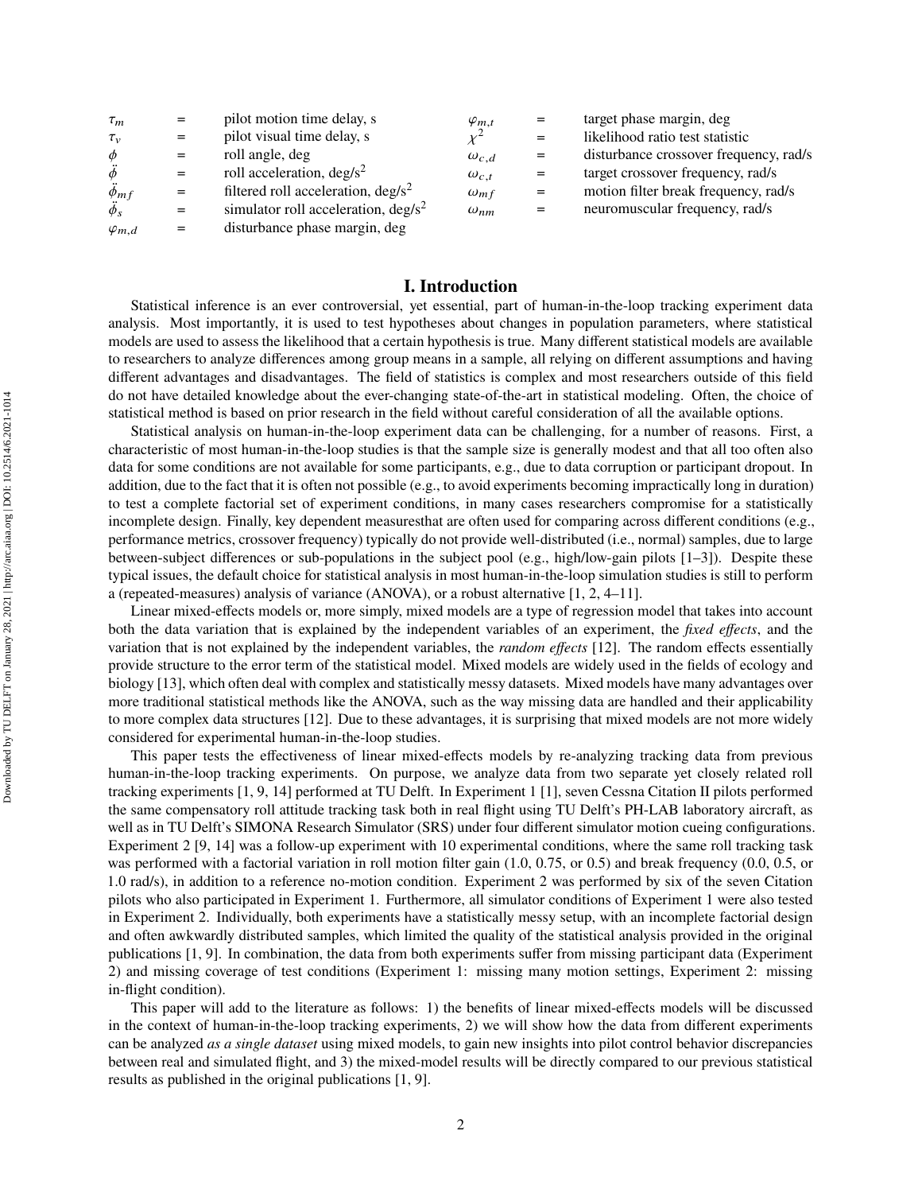| $\tau_m$          |     | pilot motion time delay, s                     | $\varphi_{m,t}$ |     | target phase margin, deg               |
|-------------------|-----|------------------------------------------------|-----------------|-----|----------------------------------------|
| $\tau_{v}$        |     | pilot visual time delay, s                     | $\nu^2$         |     | likelihood ratio test statistic        |
| $\phi$            |     | roll angle, deg                                | $\omega_{c,d}$  |     | disturbance crossover frequency, rad/s |
| $\ddot{\phi}$     |     | roll acceleration, $\text{deg/s}^2$            | $\omega_{c,t}$  | $=$ | target crossover frequency, rad/s      |
| $\ddot{\phi}_{m}$ |     | filtered roll acceleration, $\text{deg/s}^2$   | $\omega_{mf}$   | $=$ | motion filter break frequency, rad/s   |
| $\ddot{\phi}_s$   | $=$ | simulator roll acceleration, $\frac{deg}{s^2}$ | $\omega_{nm}$   | $=$ | neuromuscular frequency, rad/s         |
| $\varphi_{m,d}$   | $=$ | disturbance phase margin, deg                  |                 |     |                                        |

# **I. Introduction**

Statistical inference is an ever controversial, yet essential, part of human-in-the-loop tracking experiment data analysis. Most importantly, it is used to test hypotheses about changes in population parameters, where statistical models are used to assess the likelihood that a certain hypothesis is true. Many different statistical models are available to researchers to analyze differences among group means in a sample, all relying on different assumptions and having different advantages and disadvantages. The field of statistics is complex and most researchers outside of this field do not have detailed knowledge about the ever-changing state-of-the-art in statistical modeling. Often, the choice of statistical method is based on prior research in the field without careful consideration of all the available options.

Statistical analysis on human-in-the-loop experiment data can be challenging, for a number of reasons. First, a characteristic of most human-in-the-loop studies is that the sample size is generally modest and that all too often also data for some conditions are not available for some participants, e.g., due to data corruption or participant dropout. In addition, due to the fact that it is often not possible (e.g., to avoid experiments becoming impractically long in duration) to test a complete factorial set of experiment conditions, in many cases researchers compromise for a statistically incomplete design. Finally, key dependent measuresthat are often used for comparing across different conditions (e.g., performance metrics, crossover frequency) typically do not provide well-distributed (i.e., normal) samples, due to large between-subject differences or sub-populations in the subject pool (e.g., high/low-gain pilots [\[1](#page-12-0)[–3](#page-12-1)]). Despite these typical issues, the default choice for statistical analysis in most human-in-the-loop simulation studies is still to perform a (repeated-measures) analysis of variance (ANOVA), or a robust alternative [\[1](#page-12-0), [2](#page-12-2), [4](#page-12-3)[–11](#page-12-4)].

Linear mixed-effects models or, more simply, mixed models are a type of regression model that takes into account both the data variation that is explained by the independent variables of an experiment, the *fixed effects*, and the variation that is not explained by the independent variables, the *random effects* [\[12\]](#page-12-5). The random effects essentially provide structure to the error term of the statistical model. Mixed models are widely used in the fields of ecology and biology [\[13\]](#page-12-6), which often deal with complex and statistically messy datasets. Mixed models have many advantages over more traditional statistical methods like the ANOVA, such as the way missing data are handled and their applicability to more complex data structures [\[12](#page-12-5)]. Due to these advantages, it is surprising that mixed models are not more widely considered for experimental human-in-the-loop studies.

This paper tests the effectiveness of linear mixed-effects models by re-analyzing tracking data from previous human-in-the-loop tracking experiments. On purpose, we analyze data from two separate yet closely related roll tracking experiments [\[1](#page-12-0), [9,](#page-12-7) [14\]](#page-12-8) performed at TU Delft. In Experiment 1 [\[1](#page-12-0)], seven Cessna Citation II pilots performed the same compensatory roll attitude tracking task both in real flight using TU Delft's PH-LAB laboratory aircraft, as well as in TU Delft's SIMONA Research Simulator (SRS) under four different simulator motion cueing configurations. Experiment 2 [\[9](#page-12-7), [14\]](#page-12-8) was a follow-up experiment with 10 experimental conditions, where the same roll tracking task was performed with a factorial variation in roll motion filter gain  $(1.0, 0.75,$  or 0.5) and break frequency  $(0.0, 0.5,$  or 1.0 rad/s), in addition to a reference no-motion condition. Experiment 2 was performed by six of the seven Citation pilots who also participated in Experiment 1. Furthermore, all simulator conditions of Experiment 1 were also tested in Experiment 2. Individually, both experiments have a statistically messy setup, with an incomplete factorial design and often awkwardly distributed samples, which limited the quality of the statistical analysis provided in the original publications [\[1,](#page-12-0) [9\]](#page-12-7). In combination, the data from both experiments suffer from missing participant data (Experiment 2) and missing coverage of test conditions (Experiment 1: missing many motion settings, Experiment 2: missing in-flight condition).

This paper will add to the literature as follows: 1) the benefits of linear mixed-effects models will be discussed in the context of human-in-the-loop tracking experiments, 2) we will show how the data from different experiments can be analyzed *as a single dataset* using mixed models, to gain new insights into pilot control behavior discrepancies between real and simulated flight, and 3) the mixed-model results will be directly compared to our previous statistical results as published in the original publications [\[1,](#page-12-0) [9\]](#page-12-7).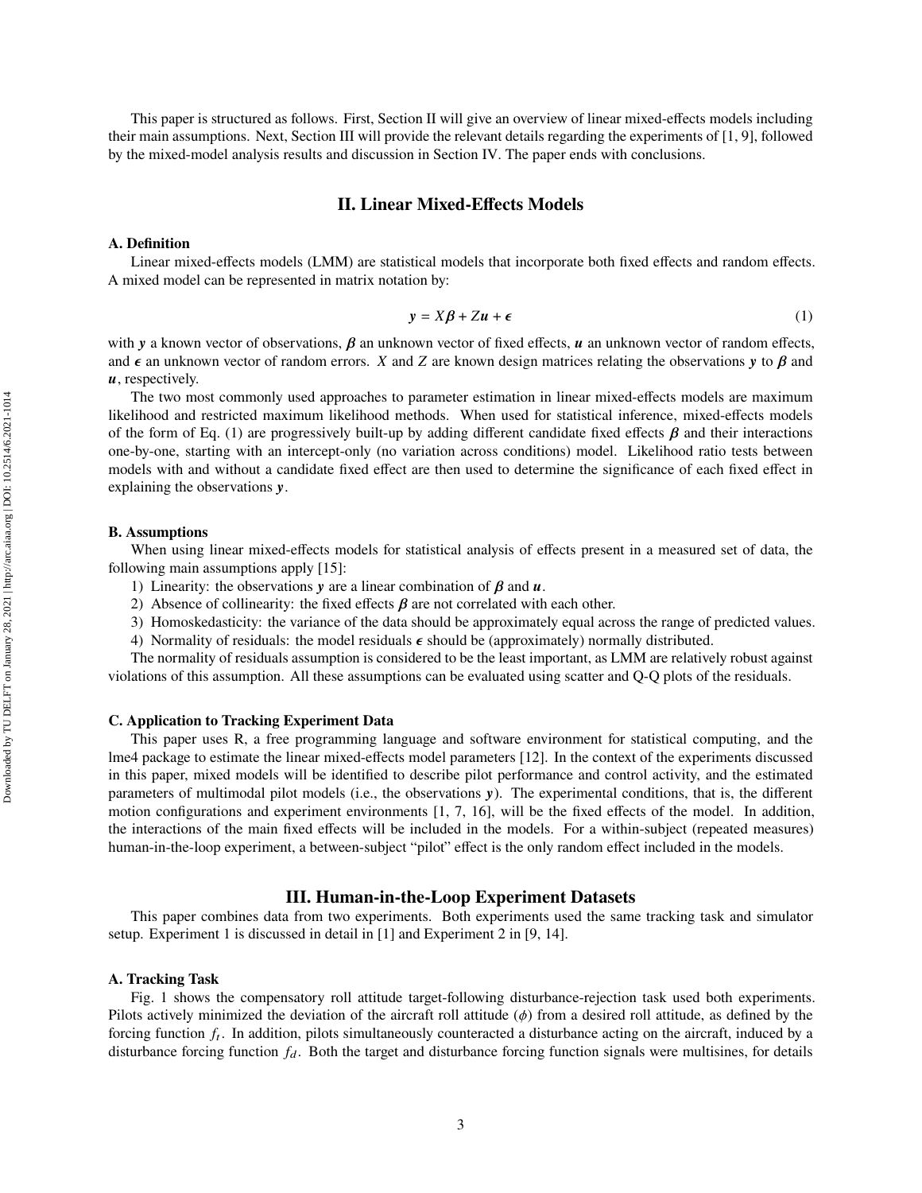<span id="page-3-0"></span>This paper is structured as follows. First, Section [II](#page-3-0) will give an overview of linear mixed-effects models including their main assumptions. Next, Section [III](#page-3-1) will provide the relevant details regarding the experiments of [\[1,](#page-12-0) [9\]](#page-12-7), followed by the mixed-model analysis results and discussion in Section [IV.](#page-6-0) The paper ends with conclusions.

#### **II. Linear Mixed-Effects Models**

#### **A. Definition**

Linear mixed-effects models (LMM) are statistical models that incorporate both fixed effects and random effects. A mixed model can be represented in matrix notation by:

<span id="page-3-2"></span>
$$
y = X\beta + Zu + \epsilon \tag{1}
$$

with y a known vector of observations,  $\beta$  an unknown vector of fixed effects,  $\mu$  an unknown vector of random effects, and  $\epsilon$  an unknown vector of random errors. X and Z are known design matrices relating the observations y to  $\beta$  and *, respectively.* 

The two most commonly used approaches to parameter estimation in linear mixed-effects models are maximum likelihood and restricted maximum likelihood methods. When used for statistical inference, mixed-effects models of the form of Eq. [\(1\)](#page-3-2) are progressively built-up by adding different candidate fixed effects  $\beta$  and their interactions one-by-one, starting with an intercept-only (no variation across conditions) model. Likelihood ratio tests between models with and without a candidate fixed effect are then used to determine the significance of each fixed effect in explaining the observations  $y$ .

#### **B. Assumptions**

When using linear mixed-effects models for statistical analysis of effects present in a measured set of data, the following main assumptions apply [\[15](#page-12-9)]:

- 1) Linearity: the observations y are a linear combination of  $\beta$  and  $\alpha$ .
- 2) Absence of collinearity: the fixed effects  $\beta$  are not correlated with each other.
- 3) Homoskedasticity: the variance of the data should be approximately equal across the range of predicted values.
- 4) Normality of residuals: the model residuals  $\epsilon$  should be (approximately) normally distributed.

The normality of residuals assumption is considered to be the least important, as LMM are relatively robust against violations of this assumption. All these assumptions can be evaluated using scatter and Q-Q plots of the residuals.

#### **C. Application to Tracking Experiment Data**

This paper uses R, a free programming language and software environment for statistical computing, and the lme4 package to estimate the linear mixed-effects model parameters [\[12](#page-12-5)]. In the context of the experiments discussed in this paper, mixed models will be identified to describe pilot performance and control activity, and the estimated parameters of multimodal pilot models (i.e., the observations  $y$ ). The experimental conditions, that is, the different motion configurations and experiment environments [\[1](#page-12-0), [7](#page-12-10), [16](#page-12-11)], will be the fixed effects of the model. In addition, the interactions of the main fixed effects will be included in the models. For a within-subject (repeated measures) human-in-the-loop experiment, a between-subject "pilot" effect is the only random effect included in the models.

# **III. Human-in-the-Loop Experiment Datasets**

<span id="page-3-1"></span>This paper combines data from two experiments. Both experiments used the same tracking task and simulator setup. Experiment 1 is discussed in detail in [\[1\]](#page-12-0) and Experiment 2 in [\[9,](#page-12-7) [14\]](#page-12-8).

#### **A. Tracking Task**

Fig. [1](#page-4-0) shows the compensatory roll attitude target-following disturbance-rejection task used both experiments. Pilots actively minimized the deviation of the aircraft roll attitude  $(\phi)$  from a desired roll attitude, as defined by the forcing function  $f_t$ . In addition, pilots simultaneously counteracted a disturbance acting on the aircraft, induced by a disturbance forcing function  $f_d$ . Both the target and disturbance forcing function signals were multisines, for details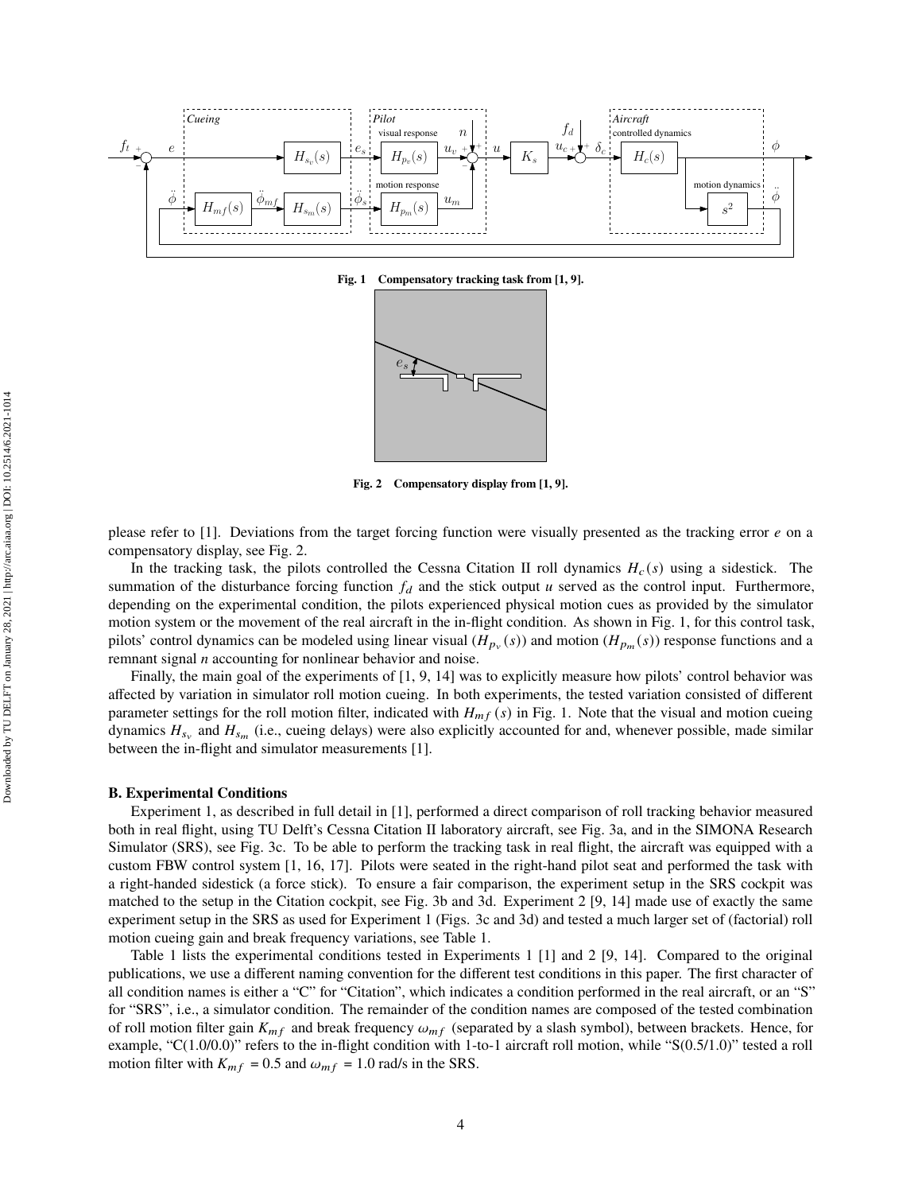<span id="page-4-0"></span>

**Fig. 1 Compensatory tracking task from [\[1](#page-12-0), [9](#page-12-7)].**



**Fig. 2 Compensatory display from [\[1,](#page-12-0) [9\]](#page-12-7).**

please refer to [\[1](#page-12-0)]. Deviations from the target forcing function were visually presented as the tracking error  $e$  on a compensatory display, see Fig. [2.](#page-4-0)

In the tracking task, the pilots controlled the Cessna Citation II roll dynamics  $H_c(s)$  using a sidestick. The summation of the disturbance forcing function  $f_d$  and the stick output  $u$  served as the control input. Furthermore, depending on the experimental condition, the pilots experienced physical motion cues as provided by the simulator motion system or the movement of the real aircraft in the in-flight condition. As shown in Fig. [1,](#page-4-0) for this control task, pilots' control dynamics can be modeled using linear visual  $(H_{p_v}(s))$  and motion  $(H_{p_m}(s))$  response functions and a remnant signal  $n$  accounting for nonlinear behavior and noise.

Finally, the main goal of the experiments of [\[1](#page-12-0), [9,](#page-12-7) [14\]](#page-12-8) was to explicitly measure how pilots' control behavior was affected by variation in simulator roll motion cueing. In both experiments, the tested variation consisted of different parameter settings for the roll motion filter, indicated with  $H_{mf}(s)$  in Fig. [1.](#page-4-0) Note that the visual and motion cueing dynamics  $H_{s_v}$  and  $H_{s_m}$  (i.e., cueing delays) were also explicitly accounted for and, whenever possible, made similar between the in-flight and simulator measurements [\[1](#page-12-0)].

#### **B. Experimental Conditions**

Experiment 1, as described in full detail in [\[1](#page-12-0)], performed a direct comparison of roll tracking behavior measured both in real flight, using TU Delft's Cessna Citation II laboratory aircraft, see Fig. [3a,](#page-5-0) and in the SIMONA Research Simulator (SRS), see Fig. [3c.](#page-5-1) To be able to perform the tracking task in real flight, the aircraft was equipped with a custom FBW control system [\[1,](#page-12-0) [16](#page-12-11), [17\]](#page-12-12). Pilots were seated in the right-hand pilot seat and performed the task with a right-handed sidestick (a force stick). To ensure a fair comparison, the experiment setup in the SRS cockpit was matched to the setup in the Citation cockpit, see Fig. [3b](#page-5-2) and [3d.](#page-5-3) Experiment 2 [\[9](#page-12-7), [14\]](#page-12-8) made use of exactly the same experiment setup in the SRS as used for Experiment 1 (Figs. [3c](#page-5-1) and [3d\)](#page-5-3) and tested a much larger set of (factorial) roll motion cueing gain and break frequency variations, see Table [1.](#page-5-4)

Table [1](#page-5-4) lists the experimental conditions tested in Experiments 1 [\[1](#page-12-0)] and 2 [\[9,](#page-12-7) [14\]](#page-12-8). Compared to the original publications, we use a different naming convention for the different test conditions in this paper. The first character of all condition names is either a "C" for "Citation", which indicates a condition performed in the real aircraft, or an "S" for "SRS", i.e., a simulator condition. The remainder of the condition names are composed of the tested combination of roll motion filter gain  $K_{mf}$  and break frequency  $\omega_{mf}$  (separated by a slash symbol), between brackets. Hence, for example, "C(1.0/0.0)" refers to the in-flight condition with 1-to-1 aircraft roll motion, while "S(0.5/1.0)" tested a roll motion filter with  $K_{mf} = 0.5$  and  $\omega_{mf} = 1.0$  rad/s in the SRS.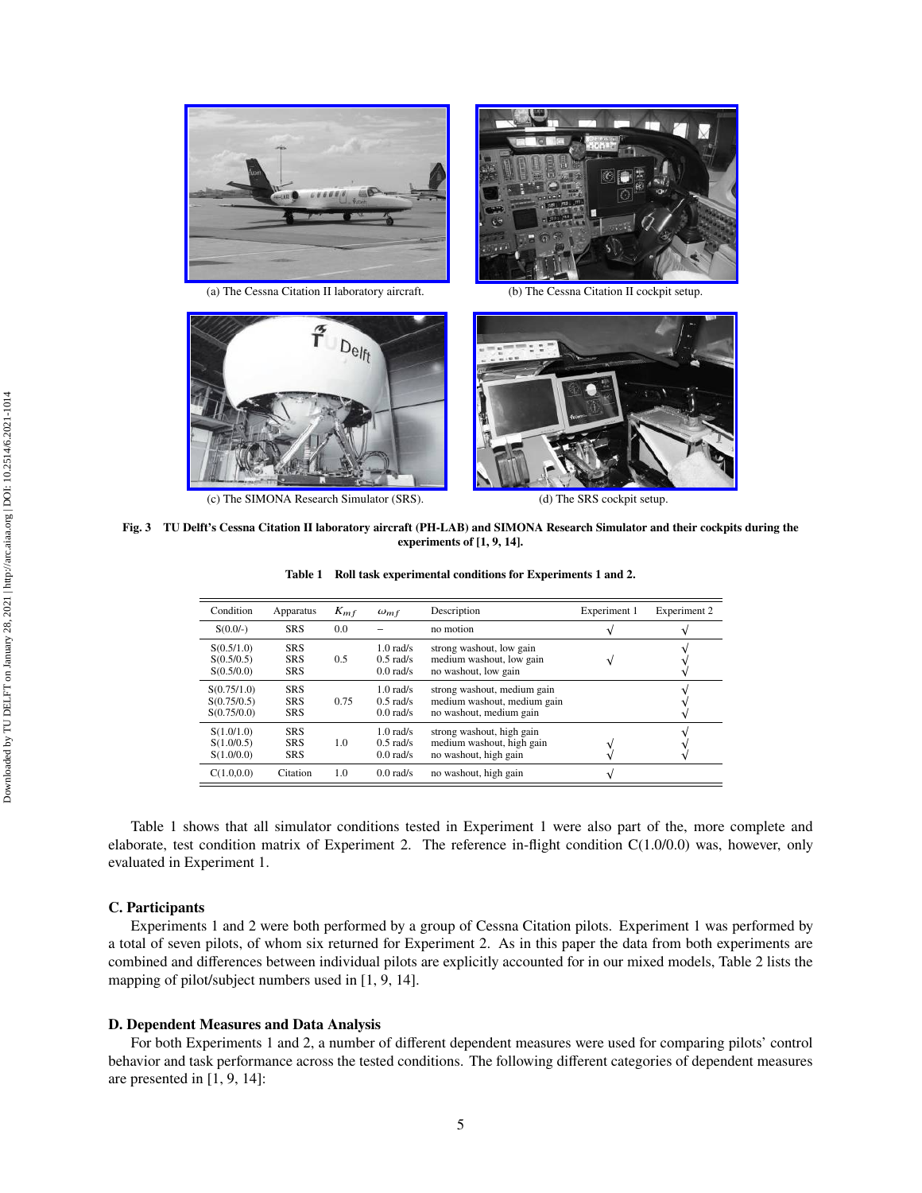<span id="page-5-0"></span>



(a) The Cessna Citation II laboratory aircraft. (b) The Cessna Citation II cockpit setup.

<span id="page-5-1"></span>

(c) The SIMONA Research Simulator (SRS). (d) The SRS cockpit setup.

<span id="page-5-3"></span><span id="page-5-2"></span>

<span id="page-5-4"></span>**Fig. 3 TU Delft's Cessna Citation II laboratory aircraft (PH-LAB) and SIMONA Research Simulator and their cockpits during the experiments of [\[1](#page-12-0), [9](#page-12-7), [14\]](#page-12-8).**

|  |  |  | Table 1 Roll task experimental conditions for Experiments 1 and 2. |  |  |  |  |  |
|--|--|--|--------------------------------------------------------------------|--|--|--|--|--|
|--|--|--|--------------------------------------------------------------------|--|--|--|--|--|

| Condition                                 | Apparatus                              | $K_{mf}$ | $\omega_{mf}$                             | Description                                                                           | Experiment 1 | Experiment 2 |
|-------------------------------------------|----------------------------------------|----------|-------------------------------------------|---------------------------------------------------------------------------------------|--------------|--------------|
| $S(0.0/-)$                                | <b>SRS</b>                             | 0.0      |                                           | no motion                                                                             | N            |              |
| S(0.5/1.0)<br>S(0.5/0.5)<br>S(0.5/0.0)    | <b>SRS</b><br><b>SRS</b><br><b>SRS</b> | 0.5      | $1.0$ rad/s<br>$0.5$ rad/s<br>$0.0$ rad/s | strong washout, low gain<br>medium washout, low gain<br>no washout, low gain          | ٦            |              |
| S(0.75/1.0)<br>S(0.75/0.5)<br>S(0.75/0.0) | <b>SRS</b><br><b>SRS</b><br><b>SRS</b> | 0.75     | $1.0$ rad/s<br>$0.5$ rad/s<br>$0.0$ rad/s | strong washout, medium gain<br>medium washout, medium gain<br>no washout, medium gain |              |              |
| S(1.0/1.0)<br>S(1.0/0.5)<br>S(1.0/0.0)    | <b>SRS</b><br><b>SRS</b><br><b>SRS</b> | 1.0      | $1.0$ rad/s<br>$0.5$ rad/s<br>$0.0$ rad/s | strong washout, high gain<br>medium washout, high gain<br>no washout, high gain       |              |              |
| C(1.0, 0.0)                               | Citation                               | 1.0      | $0.0$ rad/s                               | no washout, high gain                                                                 | A.           |              |

Table [1](#page-5-4) shows that all simulator conditions tested in Experiment 1 were also part of the, more complete and elaborate, test condition matrix of Experiment 2. The reference in-flight condition C(1.0/0.0) was, however, only evaluated in Experiment 1.

#### **C. Participants**

Experiments 1 and 2 were both performed by a group of Cessna Citation pilots. Experiment 1 was performed by a total of seven pilots, of whom six returned for Experiment 2. As in this paper the data from both experiments are combined and differences between individual pilots are explicitly accounted for in our mixed models, Table [2](#page-6-1) lists the mapping of pilot/subject numbers used in [\[1](#page-12-0), [9,](#page-12-7) [14\]](#page-12-8).

#### **D. Dependent Measures and Data Analysis**

For both Experiments 1 and 2, a number of different dependent measures were used for comparing pilots' control behavior and task performance across the tested conditions. The following different categories of dependent measures are presented in [\[1,](#page-12-0) [9,](#page-12-7) [14\]](#page-12-8):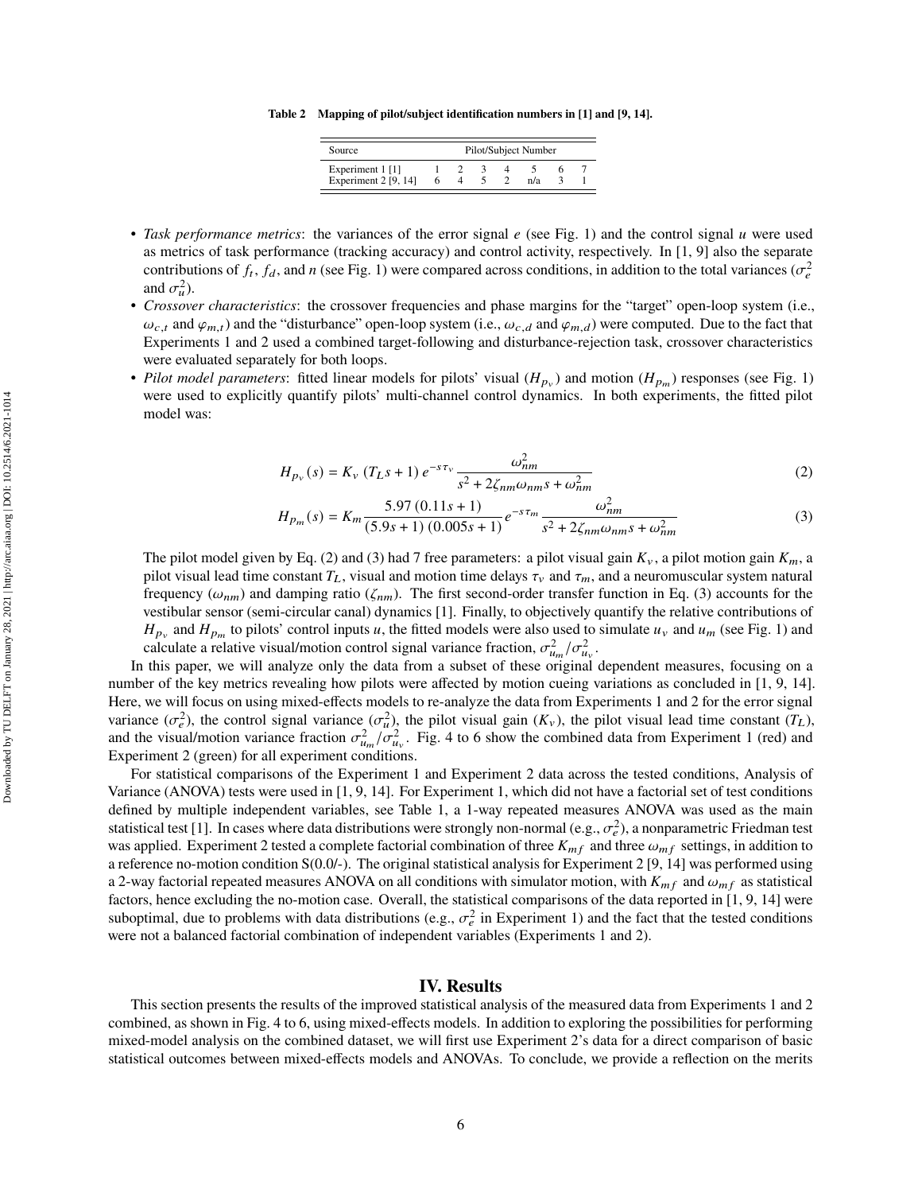**Table 2 Mapping of pilot/subject identification numbers in [\[1\]](#page-12-0) and [\[9,](#page-12-7) [14\]](#page-12-8).**

| Source                                     | Pilot/Subject Number |  |  |  |     |  |  |  |  |  |  |
|--------------------------------------------|----------------------|--|--|--|-----|--|--|--|--|--|--|
| Experiment 1 [1]<br>Experiment $2$ [9, 14] |                      |  |  |  | n/a |  |  |  |  |  |  |

- <span id="page-6-1"></span>• Task performance metrics: the variances of the error signal  $e$  (see Fig. [1\)](#page-4-0) and the control signal  $u$  were used as metrics of task performance (tracking accuracy) and control activity, respectively. In [\[1](#page-12-0), [9\]](#page-12-7) also the separate contributions of  $f_t$ ,  $f_d$ , and n (see Fig. [1\)](#page-4-0) were compared across conditions, in addition to the total variances ( $\sigma_e^2$ and  $\sigma_u^2$ ).
- *Crossover characteristics*: the crossover frequencies and phase margins for the "target" open-loop system (i.e.,  $\omega_{c,t}$  and  $\varphi_{m,t}$ ) and the "disturbance" open-loop system (i.e.,  $\omega_{c,d}$  and  $\varphi_{m,d}$ ) were computed. Due to the fact that Experiments 1 and 2 used a combined target-following and disturbance-rejection task, crossover characteristics were evaluated separately for both loops.
- *Pilot model parameters*: fitted linear models for pilots' visual  $(H_{p_v})$  and motion  $(H_{p_m})$  responses (see Fig. [1\)](#page-4-0) were used to explicitly quantify pilots' multi-channel control dynamics. In both experiments, the fitted pilot model was:

<span id="page-6-2"></span>
$$
H_{p_{\nu}}(s) = K_{\nu} (T_{L}s + 1) e^{-s\tau_{\nu}} \frac{\omega_{nm}^{2}}{s^{2} + 2\zeta_{nm}\omega_{nm}s + \omega_{nm}^{2}}
$$
(2)

<span id="page-6-3"></span>
$$
H_{p_m}(s) = K_m \frac{5.97 (0.11s + 1)}{(5.9s + 1) (0.005s + 1)} e^{-s\tau_m} \frac{\omega_{nm}^2}{s^2 + 2\zeta_{nm}\omega_{nm}s + \omega_{nm}^2}
$$
(3)

The pilot model given by Eq. [\(2\)](#page-6-2) and [\(3\)](#page-6-3) had 7 free parameters: a pilot visual gain  $K_y$ , a pilot motion gain  $K_m$ , a pilot visual lead time constant  $T_L$ , visual and motion time delays  $\tau_\nu$  and  $\tau_m$ , and a neuromuscular system natural frequency ( $\omega_{nm}$ ) and damping ratio ( $\zeta_{nm}$ ). The first second-order transfer function in Eq. [\(3\)](#page-6-3) accounts for the vestibular sensor (semi-circular canal) dynamics [\[1\]](#page-12-0). Finally, to objectively quantify the relative contributions of  $H_{p_v}$  and  $H_{p_m}$  to pilots' control inputs u, the fitted models were also used to simulate  $u_v$  and  $u_m$  (see Fig. [1\)](#page-4-0) and calculate a relative visual/motion control signal variance fraction,  $\sigma_{u_m}^2/\sigma_{u_v}^2$ .

In this paper, we will analyze only the data from a subset of these original dependent measures, focusing on a number of the key metrics revealing how pilots were affected by motion cueing variations as concluded in [\[1](#page-12-0), [9,](#page-12-7) [14\]](#page-12-8). Here, we will focus on using mixed-effects models to re-analyze the data from Experiments 1 and 2 for the error signal variance  $(\sigma_e^2)$ , the control signal variance  $(\sigma_u^2)$ , the pilot visual gain  $(K_v)$ , the pilot visual lead time constant  $(T_L)$ , and the visual/motion variance fraction  $\sigma_{u_m}^2/\sigma_{u_v}^2$ . Fig. [4](#page-7-0) to [6](#page-7-0) show the combined data from Experiment 1 (red) and Experiment 2 (green) for all experiment conditions.

For statistical comparisons of the Experiment 1 and Experiment 2 data across the tested conditions, Analysis of Variance (ANOVA) tests were used in [\[1,](#page-12-0) [9](#page-12-7), [14](#page-12-8)]. For Experiment 1, which did not have a factorial set of test conditions defined by multiple independent variables, see Table [1,](#page-5-4) a 1-way repeated measures ANOVA was used as the main statistical test [\[1](#page-12-0)]. In cases where data distributions were strongly non-normal (e.g.,  $\sigma_e^2$ ), a nonparametric Friedman test was applied. Experiment 2 tested a complete factorial combination of three  $K_{mf}$  and three  $\omega_{mf}$  settings, in addition to a reference no-motion condition  $S(0.0/-)$ . The original statistical analysis for Experiment 2 [\[9,](#page-12-7) [14](#page-12-8)] was performed using a 2-way factorial repeated measures ANOVA on all conditions with simulator motion, with  $K_{mf}$  and  $\omega_{mf}$  as statistical factors, hence excluding the no-motion case. Overall, the statistical comparisons of the data reported in [\[1,](#page-12-0) [9,](#page-12-7) [14](#page-12-8)] were suboptimal, due to problems with data distributions (e.g.,  $\sigma_e^2$  in Experiment 1) and the fact that the tested conditions were not a balanced factorial combination of independent variables (Experiments 1 and 2).

# **IV. Results**

<span id="page-6-0"></span>This section presents the results of the improved statistical analysis of the measured data from Experiments 1 and 2 combined, as shown in Fig. [4](#page-7-0) to [6,](#page-7-0) using mixed-effects models. In addition to exploring the possibilities for performing mixed-model analysis on the combined dataset, we will first use Experiment 2's data for a direct comparison of basic statistical outcomes between mixed-effects models and ANOVAs. To conclude, we provide a reflection on the merits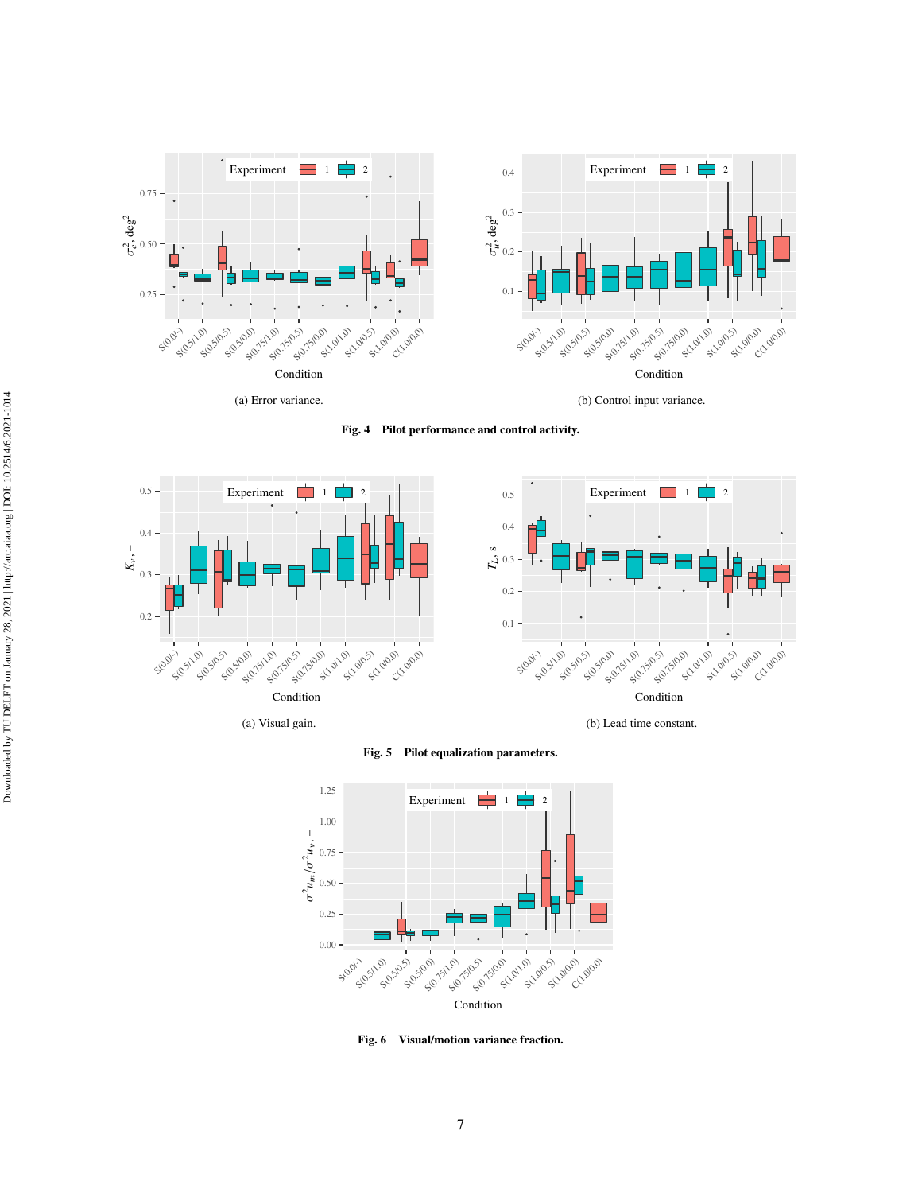<span id="page-7-3"></span><span id="page-7-0"></span>

**Fig. 4 Pilot performance and control activity.**



<span id="page-7-2"></span>

(a) Visual gain.

<span id="page-7-1"></span>(b) Lead time constant.



**Fig. 5 Pilot equalization parameters.**



**Fig. 6 Visual/motion variance fraction.**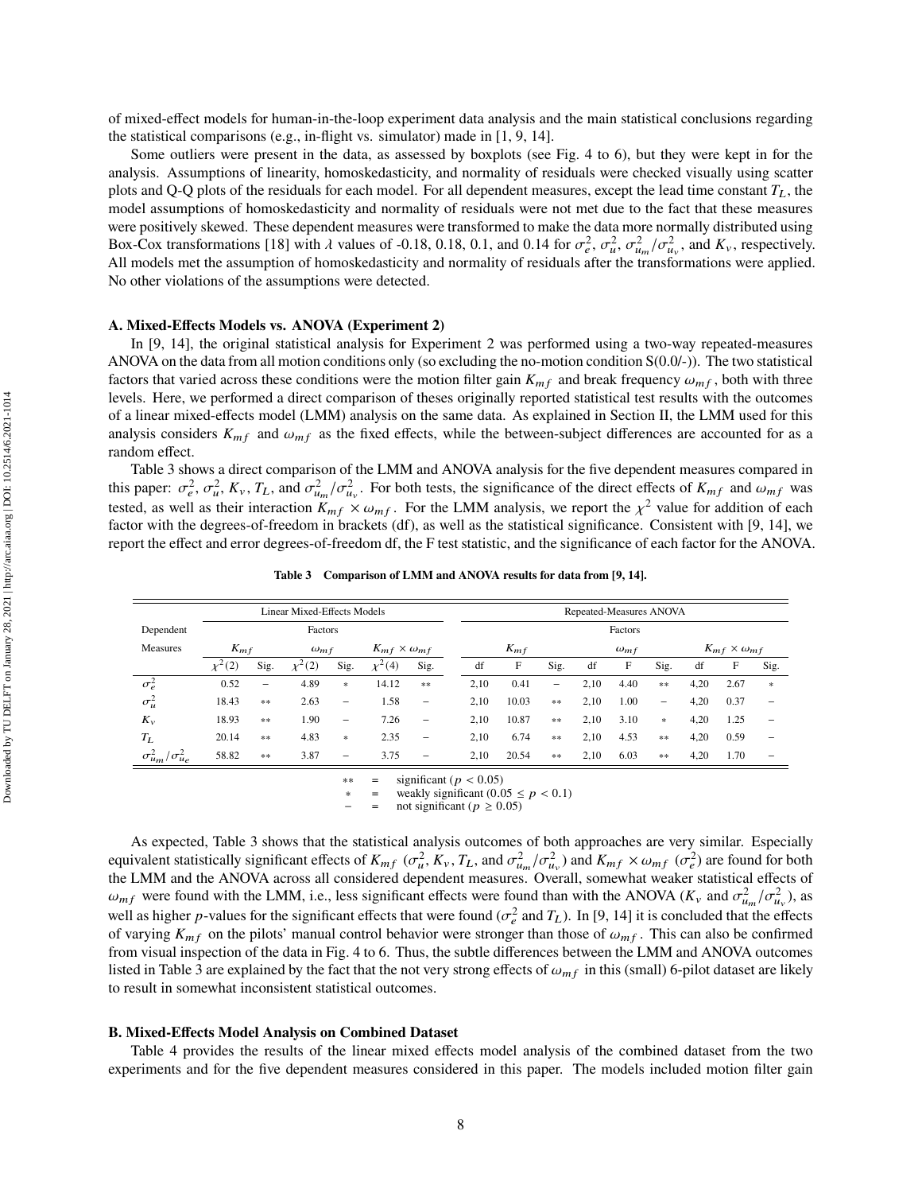of mixed-effect models for human-in-the-loop experiment data analysis and the main statistical conclusions regarding the statistical comparisons (e.g., in-flight vs. simulator) made in [\[1,](#page-12-0) [9,](#page-12-7) [14\]](#page-12-8).

Some outliers were present in the data, as assessed by boxplots (see Fig. [4](#page-7-0) to [6\)](#page-7-0), but they were kept in for the analysis. Assumptions of linearity, homoskedasticity, and normality of residuals were checked visually using scatter plots and Q-Q plots of the residuals for each model. For all dependent measures, except the lead time constant  $T_L$ , the model assumptions of homoskedasticity and normality of residuals were not met due to the fact that these measures were positively skewed. These dependent measures were transformed to make the data more normally distributed using Box-Cox transformations [\[18](#page-12-13)] with  $\lambda$  values of -0.18, 0.18, 0.1, and 0.14 for  $\sigma_e^2$ ,  $\sigma_u^2$ ,  $\sigma_{u_m}^2/\sigma_{u_v}^2$ , and  $K_v$ , respectively. All models met the assumption of homoskedasticity and normality of residuals after the transformations were applied. No other violations of the assumptions were detected.

# **A. Mixed-Effects Models vs. ANOVA (Experiment 2)**

In [\[9](#page-12-7), [14\]](#page-12-8), the original statistical analysis for Experiment 2 was performed using a two-way repeated-measures ANOVA on the data from all motion conditions only (so excluding the no-motion condition  $S(0.0/-)$ ). The two statistical factors that varied across these conditions were the motion filter gain  $K_{mf}$  and break frequency  $\omega_{mf}$ , both with three levels. Here, we performed a direct comparison of theses originally reported statistical test results with the outcomes of a linear mixed-effects model (LMM) analysis on the same data. As explained in Section [II,](#page-3-0) the LMM used for this analysis considers  $K_{mf}$  and  $\omega_{mf}$  as the fixed effects, while the between-subject differences are accounted for as a random effect.

Table [3](#page-8-0) shows a direct comparison of the LMM and ANOVA analysis for the five dependent measures compared in this paper:  $\sigma_e^2$ ,  $\sigma_u^2$ ,  $K_v$ ,  $T_L$ , and  $\sigma_{u_m}^2/\sigma_{u_v}^2$ . For both tests, the significance of the direct effects of  $K_{mf}$  and  $\omega_{mf}$  was tested, as well as their interaction  $K_{mf} \times \omega_{mf}$ . For the LMM analysis, we report the  $\chi^2$  value for addition of each factor with the degrees-of-freedom in brackets (df), as well as the statistical significance. Consistent with [\[9,](#page-12-7) [14](#page-12-8)], we report the effect and error degrees-of-freedom df, the F test statistic, and the significance of each factor for the ANOVA.

<span id="page-8-0"></span>

|                                    | <b>Linear Mixed-Effects Models</b> |                          |             |                             |               |                          |          | Repeated-Measures ANOVA |       |                |      |      |                                   |      |      |                          |  |
|------------------------------------|------------------------------------|--------------------------|-------------|-----------------------------|---------------|--------------------------|----------|-------------------------|-------|----------------|------|------|-----------------------------------|------|------|--------------------------|--|
| Dependent                          |                                    |                          | Factors     |                             |               |                          |          | Factors                 |       |                |      |      |                                   |      |      |                          |  |
| Measures                           | $K_{mf}$<br>$\omega_{mf}$          |                          |             | $K_{mf} \times \omega_{mf}$ |               |                          | $K_{mf}$ |                         |       | $\omega_{m}$ f |      |      | $K_{mf} \times \omega_{mf}$       |      |      |                          |  |
|                                    | $\chi^2(2)$                        | Sig.                     | $\chi^2(2)$ | Sig.                        | $\chi^{2}(4)$ | Sig.                     |          | df                      | F     | Sig.           | df   | F    | Sig.                              | df   | F    | Sig.                     |  |
| $\sigma_e^2$                       | 0.52                               | $\overline{\phantom{m}}$ | 4.89        | $\ast$                      | 14.12         | **                       |          | 2,10                    | 0.41  | -              | 2,10 | 4.40 | $*$                               | 4,20 | 2.67 | $\ast$                   |  |
| $\sigma^2_u$                       | 18.43                              | **                       | 2.63        | -                           | 1.58          | $\overline{\phantom{0}}$ |          | 2,10                    | 10.03 | $\frac{1}{2}$  | 2,10 | 1.00 | -                                 | 4,20 | 0.37 | -                        |  |
| $K_v$                              | 18.93                              | **                       | 1.90        | -                           | 7.26          | $\overline{\phantom{0}}$ |          | 2,10                    | 10.87 | $\frac{1}{2}$  | 2,10 | 3.10 | $\frac{d\mathbf{r}}{d\mathbf{r}}$ | 4,20 | 1.25 | -                        |  |
| $T_L$                              | 20.14                              | **                       | 4.83        | $\ast$                      | 2.35          | $\overline{\phantom{0}}$ |          | 2,10                    | 6.74  | $\frac{1}{2}$  | 2,10 | 4.53 | $*$                               | 4,20 | 0.59 | $\overline{\phantom{0}}$ |  |
| $\sigma_{um}^2$<br>$\sigma_{ue}^2$ | 58.82                              | **                       | 3.87        | -                           | 3.75          | $\overline{\phantom{0}}$ |          | 2,10                    | 20.54 | **             | 2,10 | 6.03 | $*$                               | 4,20 | 1.70 | -                        |  |

**Table 3 Comparison of LMM and ANOVA results for data from [\[9](#page-12-7), [14](#page-12-8)].**

 $**$  = significant ( $p < 0.05$ )<br> $*$  = weakly significant (0.0

weakly significant (0.05  $\leq$   $p$  < 0.1)

not significant ( $p \geq 0.05$ )

As expected, Table [3](#page-8-0) shows that the statistical analysis outcomes of both approaches are very similar. Especially equivalent statistically significant effects of  $K_{mf}$  ( $\sigma_u^2$ ,  $K_v$ ,  $T_L$ , and  $\sigma_{u_m}^2/\sigma_{u_v}^2$ ) and  $K_{mf} \times \omega_{mf}$  ( $\sigma_e^2$ ) are found for both the LMM and the ANOVA across all considered dependent measures. Overall, somewhat weaker statistical effects of  $\omega_{mf}$  were found with the LMM, i.e., less significant effects were found than with the ANOVA ( $K_v$  and  $\sigma_{u_m}^2/\sigma_{u_v}^2$ ), as well as higher p-values for the significant effects that were found ( $\sigma_e^2$  and  $T_L$ ). In [\[9](#page-12-7), [14\]](#page-12-8) it is concluded that the effects of varying  $K_{mf}$  on the pilots' manual control behavior were stronger than those of  $\omega_{mf}$ . This can also be confirmed from visual inspection of the data in Fig. [4](#page-7-0) to [6.](#page-7-0) Thus, the subtle differences between the LMM and ANOVA outcomes listed in Table [3](#page-8-0) are explained by the fact that the not very strong effects of  $\omega_{mf}$  in this (small) 6-pilot dataset are likely to result in somewhat inconsistent statistical outcomes.

#### **B. Mixed-Effects Model Analysis on Combined Dataset**

Table [4](#page-9-0) provides the results of the linear mixed effects model analysis of the combined dataset from the two experiments and for the five dependent measures considered in this paper. The models included motion filter gain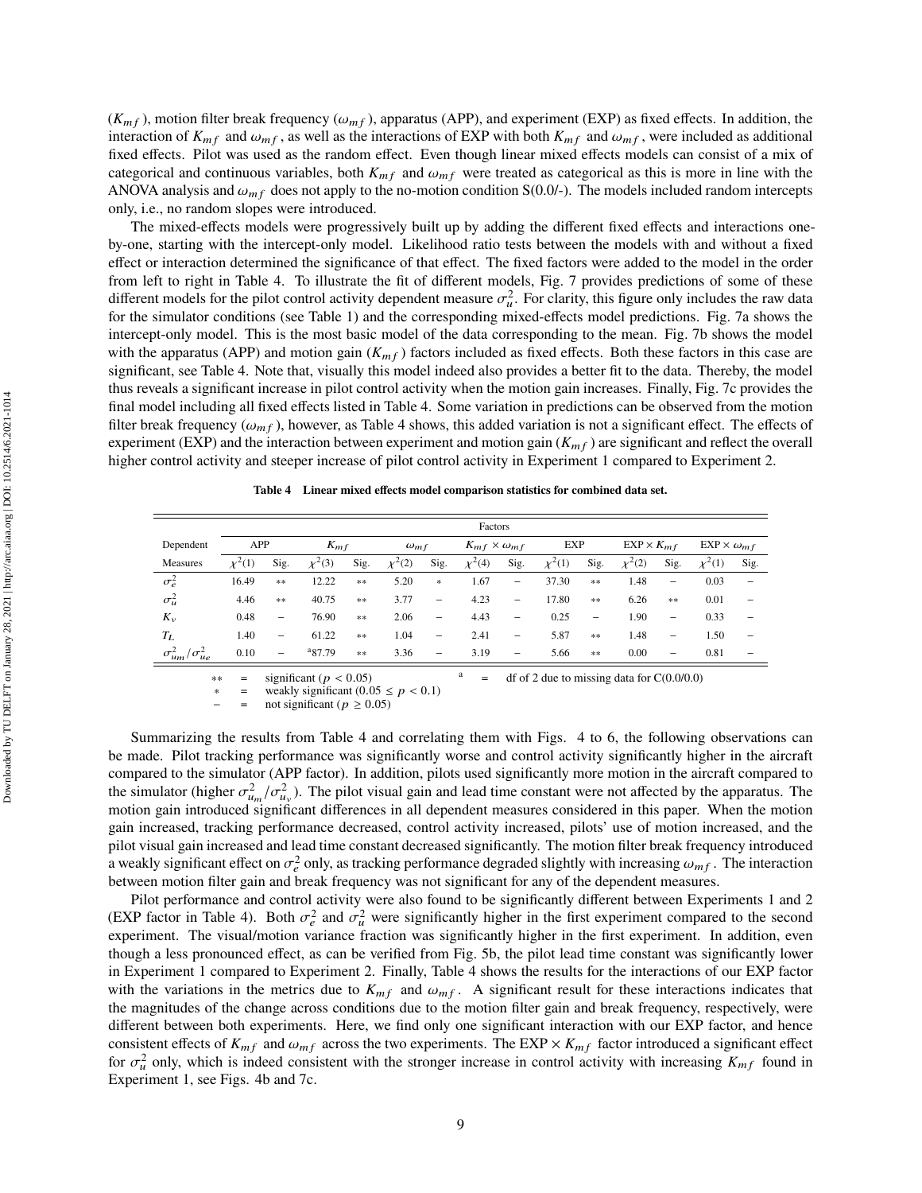$(K_{mf})$ , motion filter break frequency ( $\omega_{mf}$ ), apparatus (APP), and experiment (EXP) as fixed effects. In addition, the interaction of  $K_{mf}$  and  $\omega_{mf}$ , as well as the interactions of EXP with both  $K_{mf}$  and  $\omega_{mf}$ , were included as additional fixed effects. Pilot was used as the random effect. Even though linear mixed effects models can consist of a mix of categorical and continuous variables, both  $K_{mf}$  and  $\omega_{mf}$  were treated as categorical as this is more in line with the ANOVA analysis and  $\omega_{mf}$  does not apply to the no-motion condition S(0.0/-). The models included random intercepts only, i.e., no random slopes were introduced.

The mixed-effects models were progressively built up by adding the different fixed effects and interactions oneby-one, starting with the intercept-only model. Likelihood ratio tests between the models with and without a fixed effect or interaction determined the significance of that effect. The fixed factors were added to the model in the order from left to right in Table [4.](#page-9-0) To illustrate the fit of different models, Fig. [7](#page-10-0) provides predictions of some of these different models for the pilot control activity dependent measure  $\sigma_u^2$ . For clarity, this figure only includes the raw data for the simulator conditions (see Table [1\)](#page-5-4) and the corresponding mixed-effects model predictions. Fig. [7a](#page-10-1) shows the intercept-only model. This is the most basic model of the data corresponding to the mean. Fig. [7b](#page-10-2) shows the model with the apparatus (APP) and motion gain  $(K_{mf})$  factors included as fixed effects. Both these factors in this case are significant, see Table [4.](#page-9-0) Note that, visually this model indeed also provides a better fit to the data. Thereby, the model thus reveals a significant increase in pilot control activity when the motion gain increases. Finally, Fig. [7c](#page-10-3) provides the final model including all fixed effects listed in Table [4.](#page-9-0) Some variation in predictions can be observed from the motion filter break frequency ( $\omega_{m}$ ,), however, as Table [4](#page-9-0) shows, this added variation is not a significant effect. The effects of experiment (EXP) and the interaction between experiment and motion gain  $(K_{m} f)$  are significant and reflect the overall higher control activity and steeper increase of pilot control activity in Experiment 1 compared to Experiment 2.

<span id="page-9-0"></span>

|                               | Factors     |                          |             |               |                |                          |                             |                          |             |          |                     |                          |                          |                          |
|-------------------------------|-------------|--------------------------|-------------|---------------|----------------|--------------------------|-----------------------------|--------------------------|-------------|----------|---------------------|--------------------------|--------------------------|--------------------------|
| Dependent                     | APP         |                          | $K_{mf}$    |               | $\omega_{m}$ f |                          | $K_{mf} \times \omega_{mf}$ |                          | EXP         |          | $EXP \times K_{mf}$ |                          | $EXP \times \omega_{mf}$ |                          |
| Measures                      | $\chi^2(1)$ | Sig.                     | $\chi^2(3)$ | Sig.          | $\chi^2(2)$    | Sig.                     | $\chi^2(4)$                 | Sig.                     | $\chi^2(1)$ | Sig.     | $\chi^2(2)$         | Sig.                     | $\chi^2(1)$              | Sig.                     |
| $\sigma_e^2$                  | 16.49       | **                       | 12.22       | **            | 5.20           | $\ast$                   | 1.67                        | -                        | 37.30       | $\pm\pm$ | 1.48                | $\qquad \qquad -$        | 0.03                     | $\overline{\phantom{0}}$ |
| $\sigma^2_u$                  | 4.46        | **                       | 40.75       | **            | 3.77           | $\qquad \qquad -$        | 4.23                        | $\qquad \qquad -$        | 17.80       | **       | 6.26                | 米米                       | 0.01                     | -                        |
| $K_v$                         | 0.48        | $\overline{\phantom{0}}$ | 76.90       | $\frac{1}{2}$ | 2.06           | $\overline{\phantom{0}}$ | 4.43                        | -                        | 0.25        | -        | 1.90                | $\overline{\phantom{0}}$ | 0.33                     | $\overline{\phantom{0}}$ |
| $T_L$                         | 1.40        | $\overline{\phantom{a}}$ | 61.22       | $\frac{1}{2}$ | 1.04           | $\overline{\phantom{m}}$ | 2.41                        | $\overline{\phantom{m}}$ | 5.87        | $\pm\pm$ | 1.48                | $\overline{\phantom{0}}$ | 1.50                     | $\overline{\phantom{0}}$ |
| $\sigma_{um}^2/\sigma_{ue}^2$ | 0.10        | $\qquad \qquad -$        | 87.79       | 冰冰            | 3.36           | $\qquad \qquad -$        | 3.19                        | -                        | 5.66        | **       | 0.00                | $\overline{\phantom{0}}$ | 0.81                     |                          |
|                               |             |                          |             |               |                |                          |                             |                          |             |          |                     |                          |                          |                          |

 $\frac{1}{2}$  = significant ( $p < 0.05$ ) a = df of 2 due to missing data for C(0.0/0.0) = weakly significant (0.05 ≤  $p < 0.1$ )

weakly significant  $(0.05 \le p < 0.1)$ 

not significant ( $p \geq 0.05$ )

Summarizing the results from Table [4](#page-9-0) and correlating them with Figs. [4](#page-7-0) to [6,](#page-7-0) the following observations can be made. Pilot tracking performance was significantly worse and control activity significantly higher in the aircraft compared to the simulator (APP factor). In addition, pilots used significantly more motion in the aircraft compared to the simulator (higher  $\sigma_{u_m}^2/\sigma_{u_y}^2$ ). The pilot visual gain and lead time constant were not affected by the apparatus. The motion gain introduced significant differences in all dependent measures considered in this paper. When the motion gain increased, tracking performance decreased, control activity increased, pilots' use of motion increased, and the pilot visual gain increased and lead time constant decreased significantly. The motion filter break frequency introduced a weakly significant effect on  $\sigma_e^2$  only, as tracking performance degraded slightly with increasing  $\omega_{mf}$ . The interaction between motion filter gain and break frequency was not significant for any of the dependent measures.

Pilot performance and control activity were also found to be significantly different between Experiments 1 and 2 (EXP factor in Table [4\)](#page-9-0). Both  $\sigma_e^2$  and  $\sigma_u^2$  were significantly higher in the first experiment compared to the second experiment. The visual/motion variance fraction was significantly higher in the first experiment. In addition, even though a less pronounced effect, as can be verified from Fig. [5b,](#page-7-1) the pilot lead time constant was significantly lower in Experiment 1 compared to Experiment 2. Finally, Table [4](#page-9-0) shows the results for the interactions of our EXP factor with the variations in the metrics due to  $K_{mf}$  and  $\omega_{mf}$ . A significant result for these interactions indicates that the magnitudes of the change across conditions due to the motion filter gain and break frequency, respectively, were different between both experiments. Here, we find only one significant interaction with our EXP factor, and hence consistent effects of  $K_{mf}$  and  $\omega_{mf}$  across the two experiments. The EXP  $\times$   $K_{mf}$  factor introduced a significant effect for  $\sigma_u^2$  only, which is indeed consistent with the stronger increase in control activity with increasing  $K_{mf}$  found in Experiment 1, see Figs. [4b](#page-7-2) and [7c.](#page-10-3)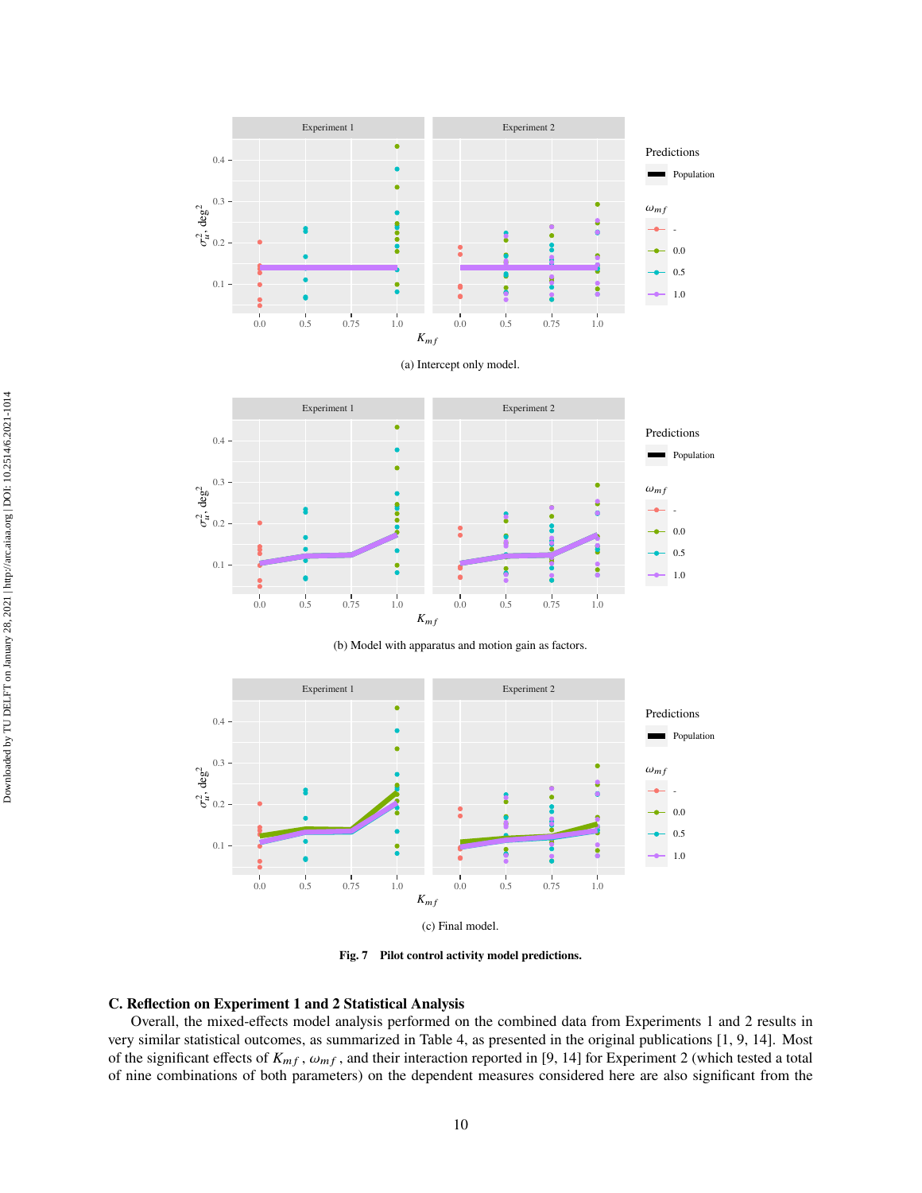<span id="page-10-1"></span><span id="page-10-0"></span>

<span id="page-10-2"></span>

(b) Model with apparatus and motion gain as factors.

<span id="page-10-3"></span>

**Fig. 7 Pilot control activity model predictions.**

# **C. Reflection on Experiment 1 and 2 Statistical Analysis**

Overall, the mixed-effects model analysis performed on the combined data from Experiments 1 and 2 results in very similar statistical outcomes, as summarized in Table [4,](#page-9-0) as presented in the original publications [\[1](#page-12-0), [9,](#page-12-7) [14\]](#page-12-8). Most of the significant effects of  $K_{mf}$ ,  $\omega_{mf}$ , and their interaction reported in [\[9](#page-12-7), [14](#page-12-8)] for Experiment 2 (which tested a total of nine combinations of both parameters) on the dependent measures considered here are also significant from the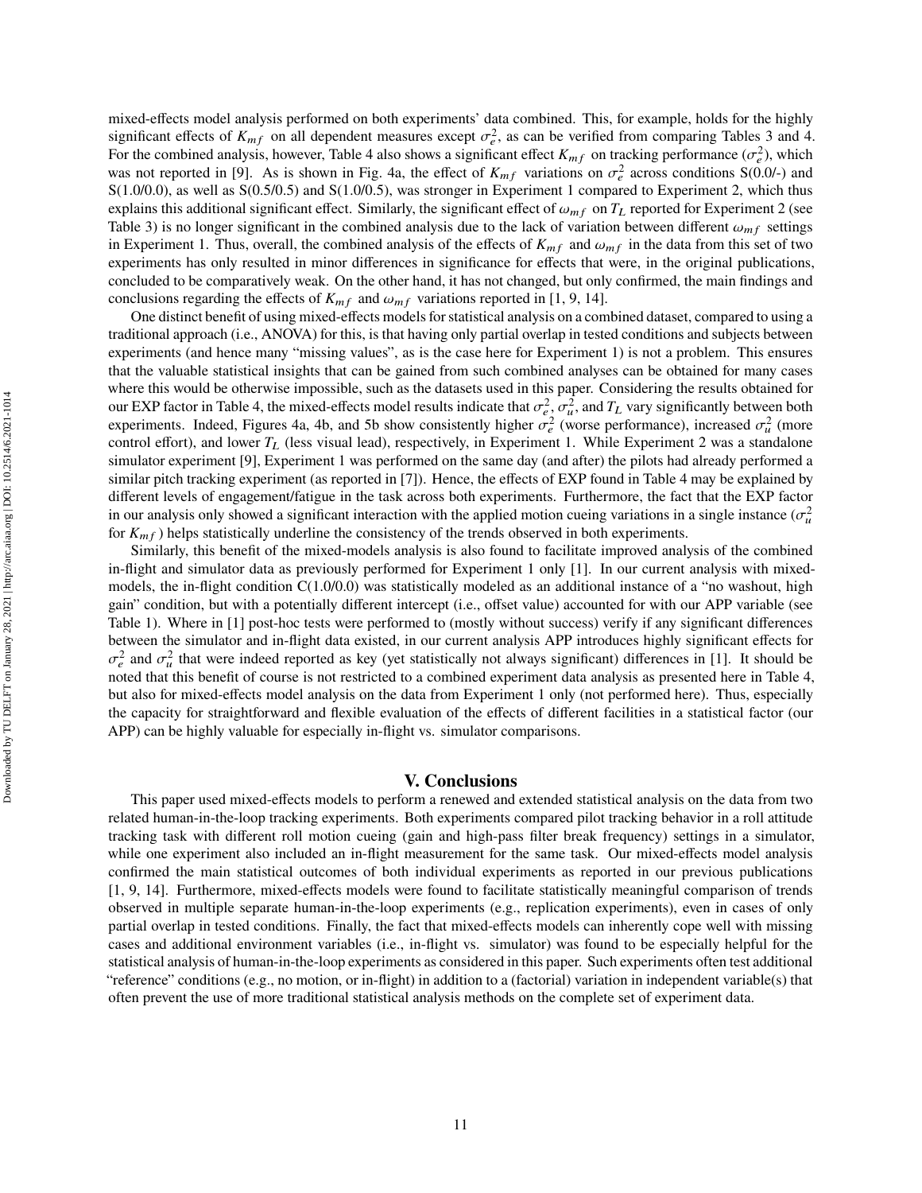mixed-effects model analysis performed on both experiments' data combined. This, for example, holds for the highly significant effects of  $K_{mf}$  on all dependent measures except  $\sigma_e^2$ , as can be verified from comparing Tables [3](#page-8-0) and [4.](#page-9-0) For the combined analysis, however, Table [4](#page-9-0) also shows a significant effect  $K_{mf}$  on tracking performance  $(\sigma_e^2)$ , which was not reported in [\[9](#page-12-7)]. As is shown in Fig. [4a,](#page-7-3) the effect of  $K_{mf}$  variations on  $\sigma_e^2$  across conditions  $S(0.0/-)$  and S(1.0/0.0), as well as S(0.5/0.5) and S(1.0/0.5), was stronger in Experiment 1 compared to Experiment 2, which thus explains this additional significant effect. Similarly, the significant effect of  $\omega_{m}$  on  $T_L$  reported for Experiment 2 (see Table [3\)](#page-8-0) is no longer significant in the combined analysis due to the lack of variation between different  $\omega_{mf}$  settings in Experiment 1. Thus, overall, the combined analysis of the effects of  $K_{mf}$  and  $\omega_{mf}$  in the data from this set of two experiments has only resulted in minor differences in significance for effects that were, in the original publications, concluded to be comparatively weak. On the other hand, it has not changed, but only confirmed, the main findings and conclusions regarding the effects of  $K_{mf}$  and  $\omega_{mf}$  variations reported in [\[1](#page-12-0), [9](#page-12-7), [14](#page-12-8)].

One distinct benefit of using mixed-effects models for statistical analysis on a combined dataset, compared to using a traditional approach (i.e., ANOVA) for this, is that having only partial overlap in tested conditions and subjects between experiments (and hence many "missing values", as is the case here for Experiment 1) is not a problem. This ensures that the valuable statistical insights that can be gained from such combined analyses can be obtained for many cases where this would be otherwise impossible, such as the datasets used in this paper. Considering the results obtained for our EXP factor in Table [4,](#page-9-0) the mixed-effects model results indicate that  $\sigma_e^2$ ,  $\sigma_u^2$ , and  $T_L$  vary significantly between both experiments. Indeed, Figures [4a,](#page-7-3) [4b,](#page-7-2) and [5b](#page-7-1) show consistently higher  $\sigma_e^2$  (worse performance), increased  $\sigma_u^2$  (more control effort), and lower  $T_L$  (less visual lead), respectively, in Experiment 1. While Experiment 2 was a standalone simulator experiment [\[9](#page-12-7)], Experiment 1 was performed on the same day (and after) the pilots had already performed a similar pitch tracking experiment (as reported in [\[7](#page-12-10)]). Hence, the effects of EXP found in Table [4](#page-9-0) may be explained by different levels of engagement/fatigue in the task across both experiments. Furthermore, the fact that the EXP factor in our analysis only showed a significant interaction with the applied motion cueing variations in a single instance  $(\sigma_u^2)$ for  $K_{mf}$ ) helps statistically underline the consistency of the trends observed in both experiments.

Similarly, this benefit of the mixed-models analysis is also found to facilitate improved analysis of the combined in-flight and simulator data as previously performed for Experiment 1 only [\[1](#page-12-0)]. In our current analysis with mixedmodels, the in-flight condition  $C(1.0/0.0)$  was statistically modeled as an additional instance of a "no washout, high gain" condition, but with a potentially different intercept (i.e., offset value) accounted for with our APP variable (see Table [1\)](#page-5-4). Where in [\[1](#page-12-0)] post-hoc tests were performed to (mostly without success) verify if any significant differences between the simulator and in-flight data existed, in our current analysis APP introduces highly significant effects for  $\sigma_e^2$  and  $\sigma_u^2$  that were indeed reported as key (yet statistically not always significant) differences in [\[1](#page-12-0)]. It should be noted that this benefit of course is not restricted to a combined experiment data analysis as presented here in Table [4,](#page-9-0) but also for mixed-effects model analysis on the data from Experiment 1 only (not performed here). Thus, especially the capacity for straightforward and flexible evaluation of the effects of different facilities in a statistical factor (our APP) can be highly valuable for especially in-flight vs. simulator comparisons.

# **V. Conclusions**

This paper used mixed-effects models to perform a renewed and extended statistical analysis on the data from two related human-in-the-loop tracking experiments. Both experiments compared pilot tracking behavior in a roll attitude tracking task with different roll motion cueing (gain and high-pass filter break frequency) settings in a simulator, while one experiment also included an in-flight measurement for the same task. Our mixed-effects model analysis confirmed the main statistical outcomes of both individual experiments as reported in our previous publications [\[1](#page-12-0), [9,](#page-12-7) [14](#page-12-8)]. Furthermore, mixed-effects models were found to facilitate statistically meaningful comparison of trends observed in multiple separate human-in-the-loop experiments (e.g., replication experiments), even in cases of only partial overlap in tested conditions. Finally, the fact that mixed-effects models can inherently cope well with missing cases and additional environment variables (i.e., in-flight vs. simulator) was found to be especially helpful for the statistical analysis of human-in-the-loop experiments as considered in this paper. Such experiments often test additional "reference" conditions (e.g., no motion, or in-flight) in addition to a (factorial) variation in independent variable(s) that often prevent the use of more traditional statistical analysis methods on the complete set of experiment data.